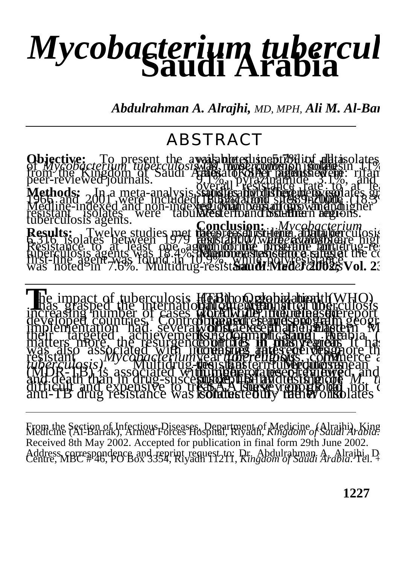## *Mycobacterium tubercul*

*Abdulrahman A. Alrajhi, MD, MPH, Ali M. Al-Barrak,* 

## ABSTRACT



From the Section of Infectious Diseases, Department of Medicine (Alraihi), King<br>Medicine (Al-Barrak), Armed Forces Hospital, Riyadh, *Kingdom of Saudi Arabia.* Received 8th May 2002. Accepted for publication in final form 29th June 2002. Address correspondence and reprint request to: Dr. Abdulrahman. A. Alrajhi, D. Centre, MBC #46, PO Box 3354, Riyadh 11211, Kingdom of Saudi Arabia. Tel. +

**1227**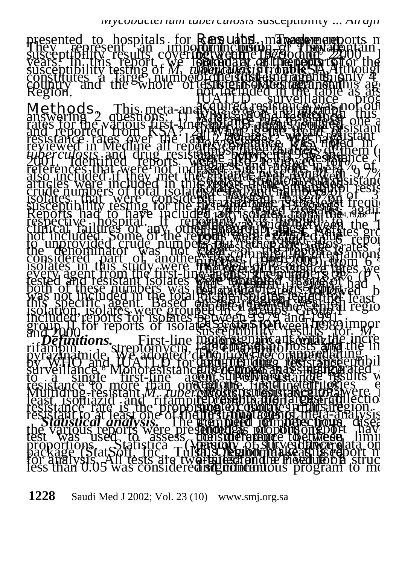

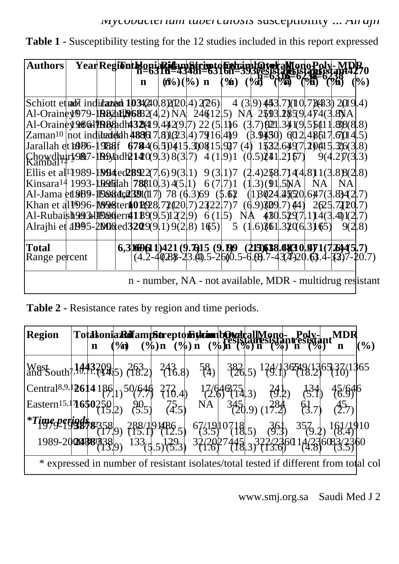| <b>Authors</b>                                                                                       |  |  |                                                                                                                                  |  |  |  |    |    |        |
|------------------------------------------------------------------------------------------------------|--|--|----------------------------------------------------------------------------------------------------------------------------------|--|--|--|----|----|--------|
|                                                                                                      |  |  |                                                                                                                                  |  |  |  |    |    | $(\%)$ |
| Schiott et nabīt indi <b>tazed 1034</b> (240, 8)(200, 4) 2(26) 4 (3, 9) 453, 7)(10, 7)(433) 2(19, 4) |  |  |                                                                                                                                  |  |  |  |    |    |        |
| Al-Orainey979-1R82at196882(4.2) NA 246125) NA 2593.2859.474(3.8) A                                   |  |  |                                                                                                                                  |  |  |  |    |    |        |
| Al-Orainey 2861 PR83 add 432 (49.442 (9.7) 22 (5.11 6 (3.7) (921, 341 (9.55 (11.88 (8.8)             |  |  |                                                                                                                                  |  |  |  |    |    |        |
| Zaman <sup>10</sup>  not inditentedh 48861 7  8) (23  4) 79(16  4) 9 (3.9450) 6(12  48617  6014  5)  |  |  |                                                                                                                                  |  |  |  |    |    |        |
| Jarallah et b086-1988ff 6784(6.50415.300815.927 (4) 1532.649(7.20015.2063.8)                         |  |  |                                                                                                                                  |  |  |  |    |    |        |
| $\text{Chowdhu}$ ry987-1094adh214009.3)8(3.7) 4(1.9)1 (0.5)241.2157) 9(4.2)7(3.3)                    |  |  |                                                                                                                                  |  |  |  |    |    |        |
| Ellis et al <sup>1</sup> 1989-1994 ed 28922(7.6) 9(3.1) 9(3.1) 7 (2.4) 258.714(4.8) 1(3.8) 8(2.8)    |  |  |                                                                                                                                  |  |  |  |    |    |        |
| Kinsara <sup>14</sup> 1993-1926 dah <b>78</b> 810.3 4(5.1) 6(7.7)1 (1.3) (91.5 NA                    |  |  |                                                                                                                                  |  |  |  | NA | NA |        |
| Al-Jama et 2009-1023 dr. 2001(117) 78 (6.3) 69 (5.62 (1) 3024. 25(20. 647(3. 8342. 7)                |  |  |                                                                                                                                  |  |  |  |    |    |        |
| Khan et al1996-1998 teril01028.72020.7) 2322.7)7 (6.9)309.7) 44) 2625.7300.7)                        |  |  |                                                                                                                                  |  |  |  |    |    |        |
| Al-Rubaish <del>993113984</del> ferr41899.5122.9 6(1.5) NA 480.5297.114(3.401(2.7)                   |  |  |                                                                                                                                  |  |  |  |    |    |        |
| Alraihi et al 1995-2006 (declision 2008). 19(2,8) 165) 5 (1.6) $\frac{361}{3206}$ , 3165) 9(2,8)     |  |  |                                                                                                                                  |  |  |  |    |    |        |
| Total                                                                                                |  |  |                                                                                                                                  |  |  |  |    |    |        |
| Range percent                                                                                        |  |  | <b>6,3 16061 1)421 (9.7615 (9.100 (215)618.48310.971 (726445.7)</b><br>(4.2-40288-23.41).5-2600.5-6.09.7-43.4-20.63.4-33)7-20.7) |  |  |  |    |    |        |

Table 1 - Susceptibility testing for the 12 studies included in this report expressed

**Table 2 -** Resistance rates by region and time periods.

| <b>Region</b>                                                                                                                                                                          |  |  |  |  |  |  |  |                                                                |  | $\mathcal{O}(0)$ |  |
|----------------------------------------------------------------------------------------------------------------------------------------------------------------------------------------|--|--|--|--|--|--|--|----------------------------------------------------------------|--|------------------|--|
|                                                                                                                                                                                        |  |  |  |  |  |  |  |                                                                |  |                  |  |
| $\left[\text{Central}^{8,9,1}\right]$ 2614 186 $\left 1\right\rangle$ 50/646 273.4 $\left 1\right\rangle$ 17/64675.3 24.2 $\left 2.9\right\rangle$ 134 $\left 3.4\right\rangle$ 45/646 |  |  |  |  |  |  |  |                                                                |  |                  |  |
| Eastern <sup>15,  </sup> <b>16</b> 5025 905 755                                                                                                                                        |  |  |  |  |  |  |  | $\overrightarrow{NA}$ $345_{0.9}$ $(17.3)$ $(3.7)$ $(2.7)$     |  |                  |  |
| <sup>*</sup> Time <sub>9</sub> perigd: 288/19486.5 67/1910718.5 361 357.2 161/1910                                                                                                     |  |  |  |  |  |  |  |                                                                |  |                  |  |
|                                                                                                                                                                                        |  |  |  |  |  |  |  | 1989-2024581338 133 5.5 729 32/2027445 322/2360 14/236083/2360 |  |                  |  |
| * expressed in number of resistant isolates/total tested if different from total col                                                                                                   |  |  |  |  |  |  |  |                                                                |  |                  |  |

www.smj.org.sa Saudi Med J 2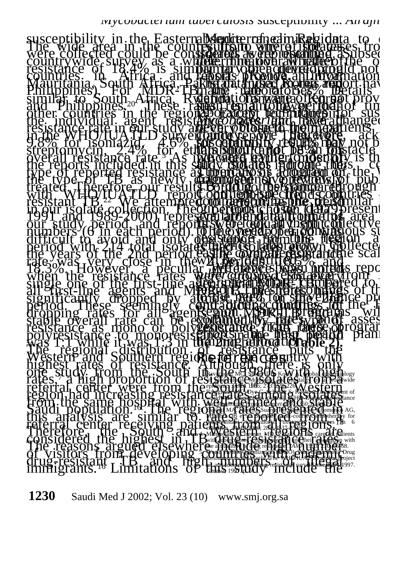